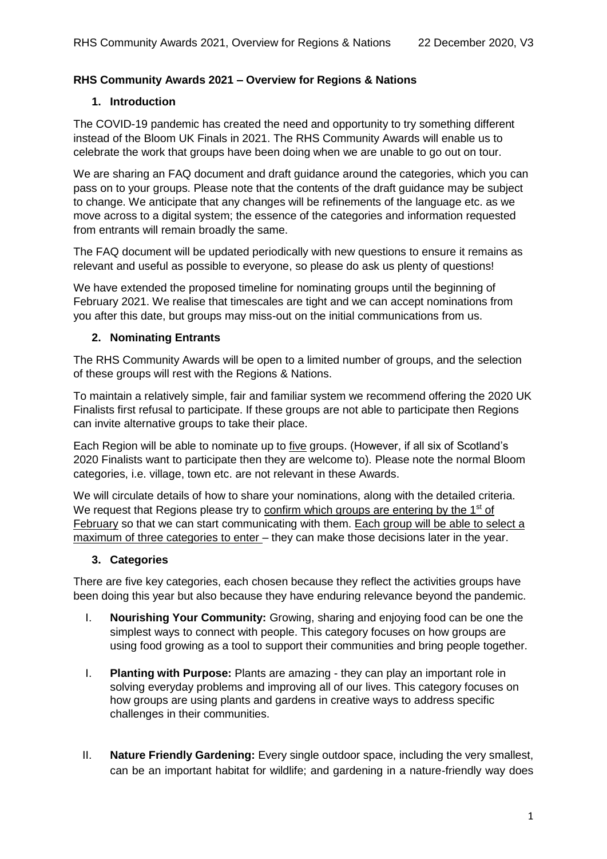# **RHS Community Awards 2021 – Overview for Regions & Nations**

#### **1. Introduction**

The COVID-19 pandemic has created the need and opportunity to try something different instead of the Bloom UK Finals in 2021. The RHS Community Awards will enable us to celebrate the work that groups have been doing when we are unable to go out on tour.

We are sharing an FAQ document and draft guidance around the categories, which you can pass on to your groups. Please note that the contents of the draft guidance may be subject to change. We anticipate that any changes will be refinements of the language etc. as we move across to a digital system; the essence of the categories and information requested from entrants will remain broadly the same.

The FAQ document will be updated periodically with new questions to ensure it remains as relevant and useful as possible to everyone, so please do ask us plenty of questions!

We have extended the proposed timeline for nominating groups until the beginning of February 2021. We realise that timescales are tight and we can accept nominations from you after this date, but groups may miss-out on the initial communications from us.

# **2. Nominating Entrants**

The RHS Community Awards will be open to a limited number of groups, and the selection of these groups will rest with the Regions & Nations.

To maintain a relatively simple, fair and familiar system we recommend offering the 2020 UK Finalists first refusal to participate. If these groups are not able to participate then Regions can invite alternative groups to take their place.

Each Region will be able to nominate up to five groups. (However, if all six of Scotland's 2020 Finalists want to participate then they are welcome to). Please note the normal Bloom categories, i.e. village, town etc. are not relevant in these Awards.

We will circulate details of how to share your nominations, along with the detailed criteria. We request that Regions please try to confirm which groups are entering by the 1<sup>st</sup> of February so that we can start communicating with them. Each group will be able to select a maximum of three categories to enter – they can make those decisions later in the year.

# **3. Categories**

There are five key categories, each chosen because they reflect the activities groups have been doing this year but also because they have enduring relevance beyond the pandemic.

- I. **Nourishing Your Community:** Growing, sharing and enjoying food can be one the simplest ways to connect with people. This category focuses on how groups are using food growing as a tool to support their communities and bring people together.
- I. **Planting with Purpose:** Plants are amazing they can play an important role in solving everyday problems and improving all of our lives. This category focuses on how groups are using plants and gardens in creative ways to address specific challenges in their communities.
- II. **Nature Friendly Gardening:** Every single outdoor space, including the very smallest, can be an important habitat for wildlife; and gardening in a nature-friendly way does